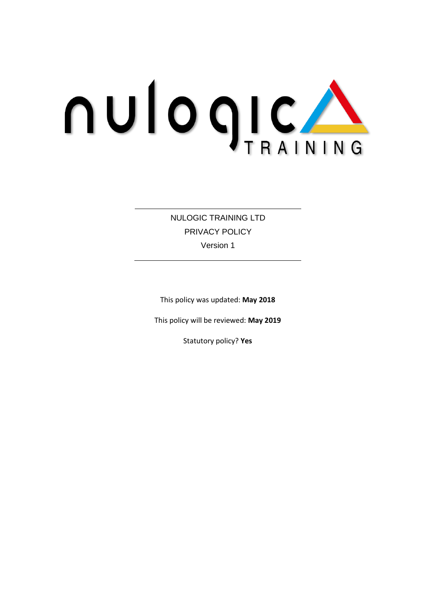# **NUIOQICA**

NULOGIC TRAINING LTD PRIVACY POLICY Version 1

This policy was updated: **May 2018**

This policy will be reviewed: **May 2019**

Statutory policy? **Yes**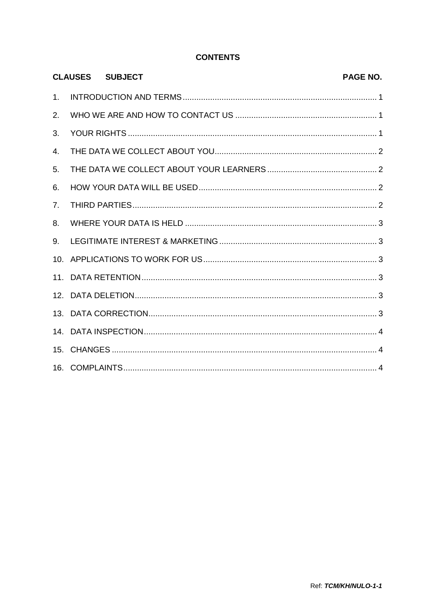## **CONTENTS**

|                | <b>CLAUSES SUBJECT</b> | <b>PAGE NO.</b> |
|----------------|------------------------|-----------------|
| 1 <sub>1</sub> |                        |                 |
| 2.             |                        |                 |
| 3.             |                        |                 |
| 4.             |                        |                 |
| 5.             |                        |                 |
| 6.             |                        |                 |
| 7 <sub>1</sub> |                        |                 |
| 8.             |                        |                 |
| 9.             |                        |                 |
|                |                        |                 |
|                |                        |                 |
|                |                        |                 |
|                |                        |                 |
|                |                        |                 |
|                |                        |                 |
|                |                        |                 |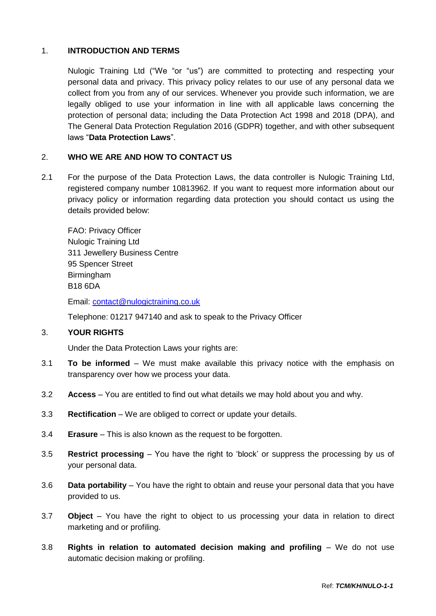## 1. **INTRODUCTION AND TERMS**

Nulogic Training Ltd ("We "or "us") are committed to protecting and respecting your personal data and privacy. This privacy policy relates to our use of any personal data we collect from you from any of our services. Whenever you provide such information, we are legally obliged to use your information in line with all applicable laws concerning the protection of personal data; including the Data Protection Act 1998 and 2018 (DPA), and The General Data Protection Regulation 2016 (GDPR) together, and with other subsequent laws "**Data Protection Laws**".

#### 2. **WHO WE ARE AND HOW TO CONTACT US**

2.1 For the purpose of the Data Protection Laws, the data controller is Nulogic Training Ltd, registered company number 10813962. If you want to request more information about our privacy policy or information regarding data protection you should contact us using the details provided below:

FAO: Privacy Officer Nulogic Training Ltd 311 Jewellery Business Centre 95 Spencer Street Birmingham B18 6DA

Email: [contact@nulogictraining.co.uk](mailto:contact@nulogictraining.co.uk)

Telephone: 01217 947140 and ask to speak to the Privacy Officer

# 3. **YOUR RIGHTS**

Under the Data Protection Laws your rights are:

- 3.1 **To be informed** We must make available this privacy notice with the emphasis on transparency over how we process your data.
- 3.2 **Access** You are entitled to find out what details we may hold about you and why.
- 3.3 **Rectification** We are obliged to correct or update your details.
- 3.4 **Erasure** This is also known as the request to be forgotten.
- 3.5 **Restrict processing** You have the right to 'block' or suppress the processing by us of your personal data.
- 3.6 **Data portability** You have the right to obtain and reuse your personal data that you have provided to us.
- 3.7 **Object** You have the right to object to us processing your data in relation to direct marketing and or profiling.
- 3.8 **Rights in relation to automated decision making and profiling** We do not use automatic decision making or profiling.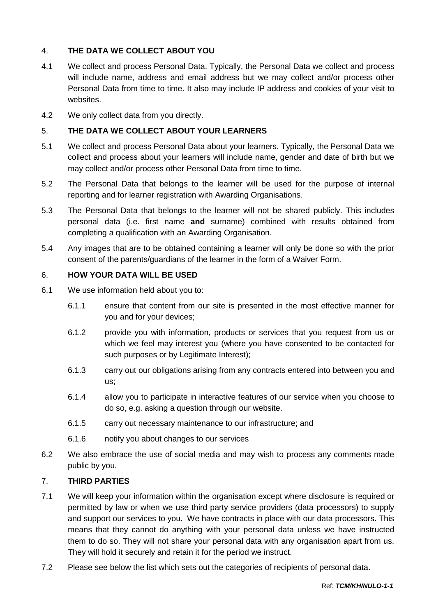# 4. **THE DATA WE COLLECT ABOUT YOU**

- 4.1 We collect and process Personal Data. Typically, the Personal Data we collect and process will include name, address and email address but we may collect and/or process other Personal Data from time to time. It also may include IP address and cookies of your visit to websites.
- 4.2 We only collect data from you directly.

#### 5. **THE DATA WE COLLECT ABOUT YOUR LEARNERS**

- 5.1 We collect and process Personal Data about your learners. Typically, the Personal Data we collect and process about your learners will include name, gender and date of birth but we may collect and/or process other Personal Data from time to time.
- 5.2 The Personal Data that belongs to the learner will be used for the purpose of internal reporting and for learner registration with Awarding Organisations.
- 5.3 The Personal Data that belongs to the learner will not be shared publicly. This includes personal data (i.e. first name **and** surname) combined with results obtained from completing a qualification with an Awarding Organisation.
- 5.4 Any images that are to be obtained containing a learner will only be done so with the prior consent of the parents/guardians of the learner in the form of a Waiver Form.

#### 6. **HOW YOUR DATA WILL BE USED**

- 6.1 We use information held about you to:
	- 6.1.1 ensure that content from our site is presented in the most effective manner for you and for your devices;
	- 6.1.2 provide you with information, products or services that you request from us or which we feel may interest you (where you have consented to be contacted for such purposes or by Legitimate Interest);
	- 6.1.3 carry out our obligations arising from any contracts entered into between you and us;
	- 6.1.4 allow you to participate in interactive features of our service when you choose to do so, e.g. asking a question through our website.
	- 6.1.5 carry out necessary maintenance to our infrastructure; and
	- 6.1.6 notify you about changes to our services
- 6.2 We also embrace the use of social media and may wish to process any comments made public by you.

#### 7. **THIRD PARTIES**

- 7.1 We will keep your information within the organisation except where disclosure is required or permitted by law or when we use third party service providers (data processors) to supply and support our services to you. We have contracts in place with our data processors. This means that they cannot do anything with your personal data unless we have instructed them to do so. They will not share your personal data with any organisation apart from us. They will hold it securely and retain it for the period we instruct.
- 7.2 Please see below the list which sets out the categories of recipients of personal data.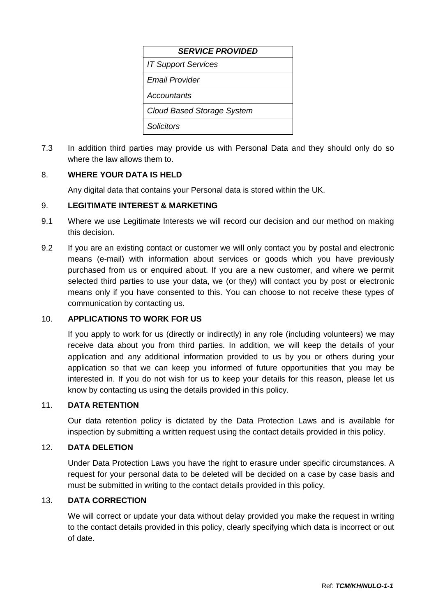| <b>SERVICE PROVIDED</b>           |  |  |  |
|-----------------------------------|--|--|--|
| <b>IT Support Services</b>        |  |  |  |
| Fmail Provider                    |  |  |  |
| Accountants                       |  |  |  |
| <b>Cloud Based Storage System</b> |  |  |  |
| Solicitors                        |  |  |  |

7.3 In addition third parties may provide us with Personal Data and they should only do so where the law allows them to.

## 8. **WHERE YOUR DATA IS HELD**

Any digital data that contains your Personal data is stored within the UK.

#### 9. **LEGITIMATE INTEREST & MARKETING**

- 9.1 Where we use Legitimate Interests we will record our decision and our method on making this decision.
- 9.2 If you are an existing contact or customer we will only contact you by postal and electronic means (e-mail) with information about services or goods which you have previously purchased from us or enquired about. If you are a new customer, and where we permit selected third parties to use your data, we (or they) will contact you by post or electronic means only if you have consented to this. You can choose to not receive these types of communication by contacting us.

#### 10. **APPLICATIONS TO WORK FOR US**

If you apply to work for us (directly or indirectly) in any role (including volunteers) we may receive data about you from third parties. In addition, we will keep the details of your application and any additional information provided to us by you or others during your application so that we can keep you informed of future opportunities that you may be interested in. If you do not wish for us to keep your details for this reason, please let us know by contacting us using the details provided in this policy.

## 11. **DATA RETENTION**

Our data retention policy is dictated by the Data Protection Laws and is available for inspection by submitting a written request using the contact details provided in this policy.

## 12. **DATA DELETION**

Under Data Protection Laws you have the right to erasure under specific circumstances. A request for your personal data to be deleted will be decided on a case by case basis and must be submitted in writing to the contact details provided in this policy.

## 13. **DATA CORRECTION**

We will correct or update your data without delay provided you make the request in writing to the contact details provided in this policy, clearly specifying which data is incorrect or out of date.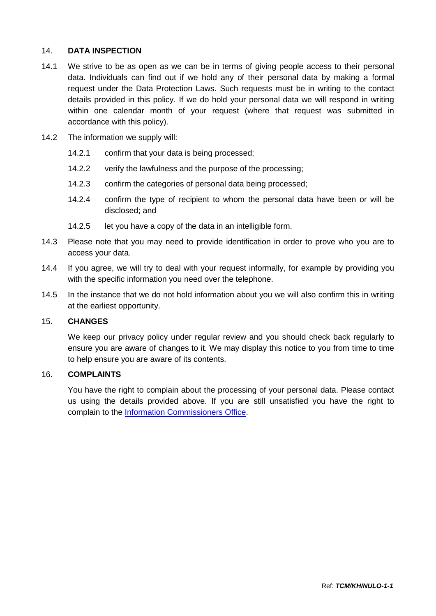## 14. **DATA INSPECTION**

- 14.1 We strive to be as open as we can be in terms of giving people access to their personal data. Individuals can find out if we hold any of their personal data by making a formal request under the Data Protection Laws. Such requests must be in writing to the contact details provided in this policy. If we do hold your personal data we will respond in writing within one calendar month of your request (where that request was submitted in accordance with this policy).
- 14.2 The information we supply will:
	- 14.2.1 confirm that your data is being processed;
	- 14.2.2 verify the lawfulness and the purpose of the processing;
	- 14.2.3 confirm the categories of personal data being processed;
	- 14.2.4 confirm the type of recipient to whom the personal data have been or will be disclosed; and
	- 14.2.5 let you have a copy of the data in an intelligible form.
- 14.3 Please note that you may need to provide identification in order to prove who you are to access your data.
- 14.4 If you agree, we will try to deal with your request informally, for example by providing you with the specific information you need over the telephone.
- 14.5 In the instance that we do not hold information about you we will also confirm this in writing at the earliest opportunity.

#### 15. **CHANGES**

We keep our privacy policy under regular review and you should check back regularly to ensure you are aware of changes to it. We may display this notice to you from time to time to help ensure you are aware of its contents.

#### 16. **COMPLAINTS**

You have the right to complain about the processing of your personal data. Please contact us using the details provided above. If you are still unsatisfied you have the right to complain to the [Information Commissioners Office.](http://www.ico.gov.uk/)